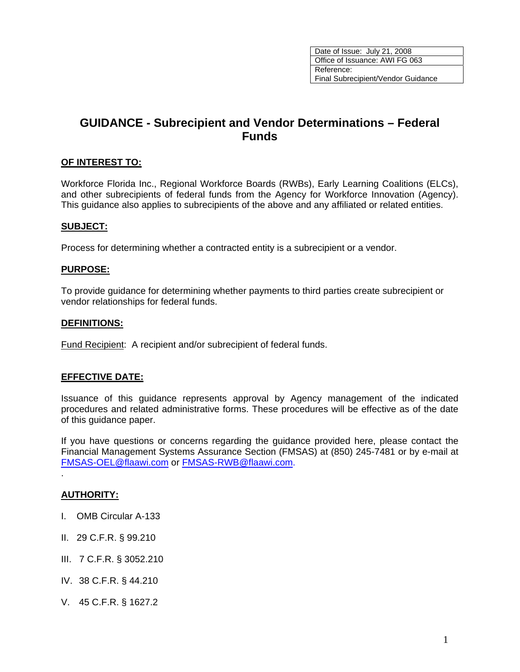# **GUIDANCE - Subrecipient and Vendor Determinations – Federal Funds**

### **OF INTEREST TO:**

Workforce Florida Inc., Regional Workforce Boards (RWBs), Early Learning Coalitions (ELCs), and other subrecipients of federal funds from the Agency for Workforce Innovation (Agency). This guidance also applies to subrecipients of the above and any affiliated or related entities.

### **SUBJECT:**

Process for determining whether a contracted entity is a subrecipient or a vendor.

### **PURPOSE:**

To provide guidance for determining whether payments to third parties create subrecipient or vendor relationships for federal funds.

#### **DEFINITIONS:**

Fund Recipient: A recipient and/or subrecipient of federal funds.

#### **EFFECTIVE DATE:**

Issuance of this guidance represents approval by Agency management of the indicated procedures and related administrative forms. These procedures will be effective as of the date of this guidance paper.

If you have questions or concerns regarding the guidance provided here, please contact the Financial Management Systems Assurance Section (FMSAS) at (850) 245-7481 or by e-mail at [FMSAS-OEL@flaawi.com](mailto:FMSAS-OEL@flaawi.com) or [FMSAS-RWB@flaawi.com.](mailto:FMSAS-RWB@awi.state.fl.us)

### **AUTHORITY:**

.

- I. OMB Circular A-133
- II. 29 C.F.R. § 99.210
- III. 7 C.F.R. § 3052.210
- IV. 38 C.F.R. § 44.210
- V. 45 C.F.R. § 1627.2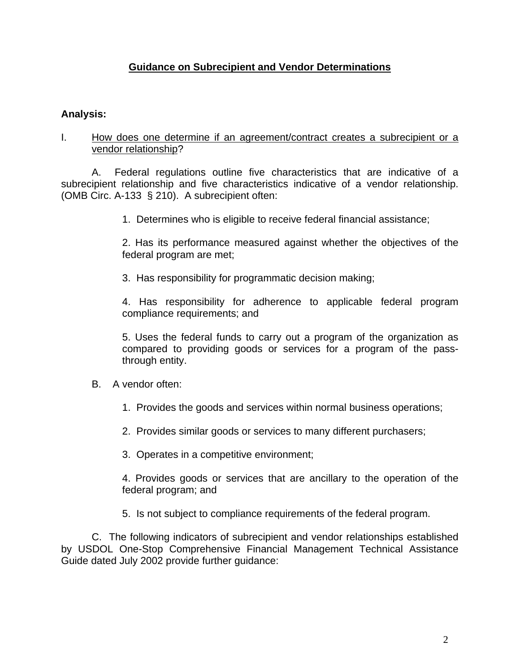# **Guidance on Subrecipient and Vendor Determinations**

# **Analysis:**

### I. How does one determine if an agreement/contract creates a subrecipient or a vendor relationship?

A. Federal regulations outline five characteristics that are indicative of a subrecipient relationship and five characteristics indicative of a vendor relationship. (OMB Circ. A-133 § 210). A subrecipient often:

1. Determines who is eligible to receive federal financial assistance;

2. Has its performance measured against whether the objectives of the federal program are met;

3. Has responsibility for programmatic decision making;

4. Has responsibility for adherence to applicable federal program compliance requirements; and

5. Uses the federal funds to carry out a program of the organization as compared to providing goods or services for a program of the passthrough entity.

### B. A vendor often:

- 1. Provides the goods and services within normal business operations;
- 2. Provides similar goods or services to many different purchasers;
- 3. Operates in a competitive environment;

4. Provides goods or services that are ancillary to the operation of the federal program; and

5. Is not subject to compliance requirements of the federal program.

C. The following indicators of subrecipient and vendor relationships established by USDOL One-Stop Comprehensive Financial Management Technical Assistance Guide dated July 2002 provide further guidance: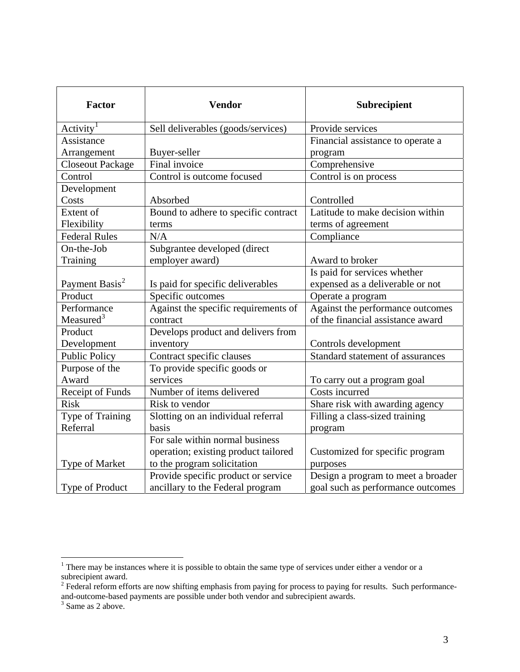| <b>Factor</b>              | <b>Vendor</b>                        | Subrecipient                       |
|----------------------------|--------------------------------------|------------------------------------|
| Activity <sup>1</sup>      | Sell deliverables (goods/services)   | Provide services                   |
| Assistance                 |                                      | Financial assistance to operate a  |
| Arrangement                | Buyer-seller                         | program                            |
| <b>Closeout Package</b>    | Final invoice                        | Comprehensive                      |
| Control                    | Control is outcome focused           | Control is on process              |
| Development                |                                      |                                    |
| Costs                      | Absorbed                             | Controlled                         |
| Extent of                  | Bound to adhere to specific contract | Latitude to make decision within   |
| Flexibility                | terms                                | terms of agreement                 |
| <b>Federal Rules</b>       | N/A                                  | Compliance                         |
| On-the-Job                 | Subgrantee developed (direct         |                                    |
| Training                   | employer award)                      | Award to broker                    |
|                            |                                      | Is paid for services whether       |
| Payment Basis <sup>2</sup> | Is paid for specific deliverables    | expensed as a deliverable or not   |
| Product                    | Specific outcomes                    | Operate a program                  |
| Performance                | Against the specific requirements of | Against the performance outcomes   |
| Measured <sup>3</sup>      | contract                             | of the financial assistance award  |
| Product                    | Develops product and delivers from   |                                    |
| Development                | inventory                            | Controls development               |
| <b>Public Policy</b>       | Contract specific clauses            | Standard statement of assurances   |
| Purpose of the             | To provide specific goods or         |                                    |
| Award                      | services                             | To carry out a program goal        |
| Receipt of Funds           | Number of items delivered            | Costs incurred                     |
| <b>Risk</b>                | Risk to vendor                       | Share risk with awarding agency    |
| Type of Training           | Slotting on an individual referral   | Filling a class-sized training     |
| Referral                   | basis                                | program                            |
|                            | For sale within normal business      |                                    |
|                            | operation; existing product tailored | Customized for specific program    |
| Type of Market             | to the program solicitation          | purposes                           |
|                            | Provide specific product or service  | Design a program to meet a broader |
| Type of Product            | ancillary to the Federal program     | goal such as performance outcomes  |

<span id="page-2-0"></span><sup>&</sup>lt;sup>1</sup> There may be instances where it is possible to obtain the same type of services under either a vendor or a

<span id="page-2-1"></span>subrecipient award.<br><sup>2</sup> Federal reform efforts are now shifting emphasis from paying for process to paying for results. Such performanceand-outcome-based payments are possible under both vendor and subrecipient awards.<br><sup>3</sup> Same as 2 above.

<span id="page-2-2"></span>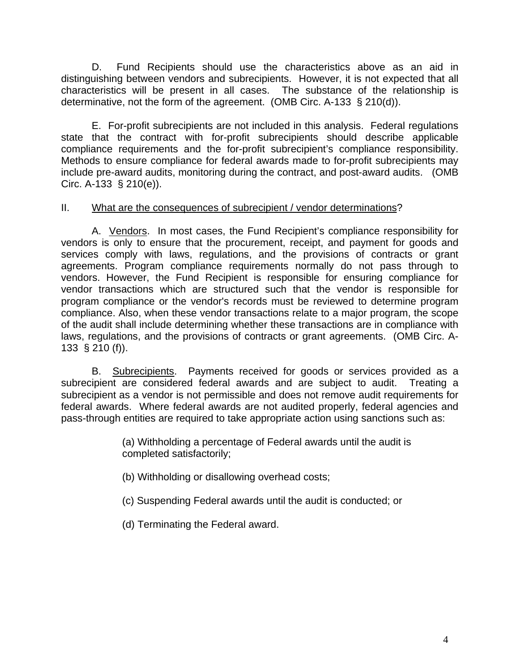D. Fund Recipients should use the characteristics above as an aid in distinguishing between vendors and subrecipients. However, it is not expected that all characteristics will be present in all cases. The substance of the relationship is determinative, not the form of the agreement. (OMB Circ. A-133 § 210(d)).

E. For-profit subrecipients are not included in this analysis. Federal regulations state that the contract with for-profit subrecipients should describe applicable compliance requirements and the for-profit subrecipient's compliance responsibility. Methods to ensure compliance for federal awards made to for-profit subrecipients may include pre-award audits, monitoring during the contract, and post-award audits. (OMB Circ. A-133 § 210(e)).

# II. What are the consequences of subrecipient / vendor determinations?

A. Vendors. In most cases, the Fund Recipient's compliance responsibility for vendors is only to ensure that the procurement, receipt, and payment for goods and services comply with laws, regulations, and the provisions of contracts or grant agreements. Program compliance requirements normally do not pass through to vendors. However, the Fund Recipient is responsible for ensuring compliance for vendor transactions which are structured such that the vendor is responsible for program compliance or the vendor's records must be reviewed to determine program compliance. Also, when these vendor transactions relate to a major program, the scope of the audit shall include determining whether these transactions are in compliance with laws, regulations, and the provisions of contracts or grant agreements. (OMB Circ. A-133 § 210 (f)).

B. Subrecipients. Payments received for goods or services provided as a subrecipient are considered federal awards and are subject to audit. Treating a subrecipient as a vendor is not permissible and does not remove audit requirements for federal awards. Where federal awards are not audited properly, federal agencies and pass-through entities are required to take appropriate action using sanctions such as:

> (a) Withholding a percentage of Federal awards until the audit is completed satisfactorily;

(b) Withholding or disallowing overhead costs;

(c) Suspending Federal awards until the audit is conducted; or

(d) Terminating the Federal award.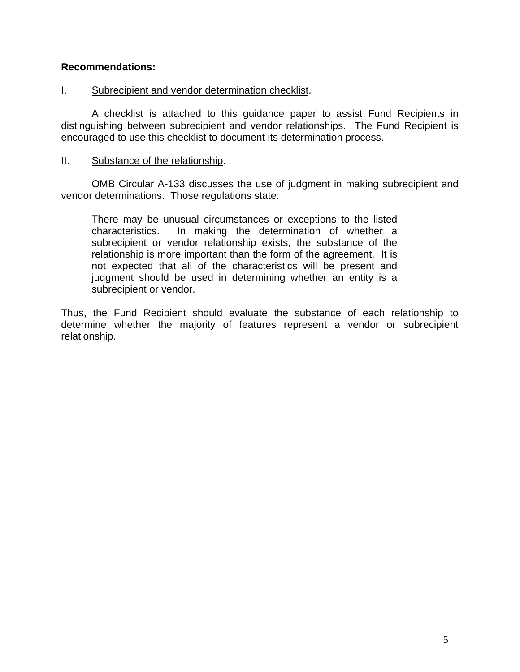# **Recommendations:**

### I. Subrecipient and vendor determination checklist.

 A checklist is attached to this guidance paper to assist Fund Recipients in distinguishing between subrecipient and vendor relationships. The Fund Recipient is encouraged to use this checklist to document its determination process.

### II. Substance of the relationship.

OMB Circular A-133 discusses the use of judgment in making subrecipient and vendor determinations. Those regulations state:

There may be unusual circumstances or exceptions to the listed characteristics. In making the determination of whether a subrecipient or vendor relationship exists, the substance of the relationship is more important than the form of the agreement. It is not expected that all of the characteristics will be present and judgment should be used in determining whether an entity is a subrecipient or vendor.

Thus, the Fund Recipient should evaluate the substance of each relationship to determine whether the majority of features represent a vendor or subrecipient relationship.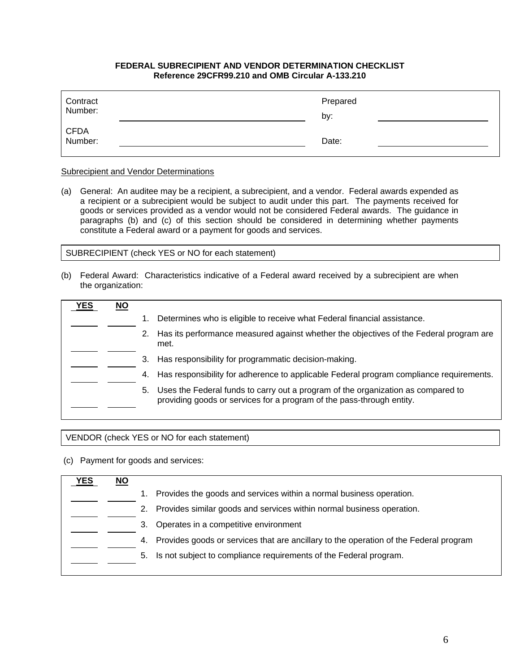#### **FEDERAL SUBRECIPIENT AND VENDOR DETERMINATION CHECKLIST Reference 29CFR99.210 and OMB Circular A-133.210**

| Contract<br>Number: | Prepared<br>by: |
|---------------------|-----------------|
| CFDA<br>Number:     | Date:           |

#### **Subrecipient and Vendor Determinations**

(a) General: An auditee may be a recipient, a subrecipient, and a vendor. Federal awards expended as a recipient or a subrecipient would be subject to audit under this part. The payments received for goods or services provided as a vendor would not be considered Federal awards. The guidance in paragraphs (b) and (c) of this section should be considered in determining whether payments constitute a Federal award or a payment for goods and services.

SUBRECIPIENT (check YES or NO for each statement)

(b) Federal Award: Characteristics indicative of a Federal award received by a subrecipient are when the organization:

| <b>/ES</b> | <u>NO</u> |    |                                                                                                                                                           |
|------------|-----------|----|-----------------------------------------------------------------------------------------------------------------------------------------------------------|
|            |           |    | Determines who is eligible to receive what Federal financial assistance.                                                                                  |
|            |           | 2. | Has its performance measured against whether the objectives of the Federal program are<br>met.                                                            |
|            |           | 3. | Has responsibility for programmatic decision-making.                                                                                                      |
|            |           | 4. | Has responsibility for adherence to applicable Federal program compliance requirements.                                                                   |
|            |           | 5. | Uses the Federal funds to carry out a program of the organization as compared to<br>providing goods or services for a program of the pass-through entity. |
|            |           |    |                                                                                                                                                           |

VENDOR (check YES or NO for each statement)

(c) Payment for goods and services:

| YES | ΝO |                                                                                             |
|-----|----|---------------------------------------------------------------------------------------------|
|     |    | Provides the goods and services within a normal business operation.                         |
|     |    | Provides similar goods and services within normal business operation.                       |
|     |    | Operates in a competitive environment<br>3.                                                 |
|     |    | Provides goods or services that are ancillary to the operation of the Federal program<br>4. |
|     |    | Is not subject to compliance requirements of the Federal program.<br>5.                     |
|     |    |                                                                                             |